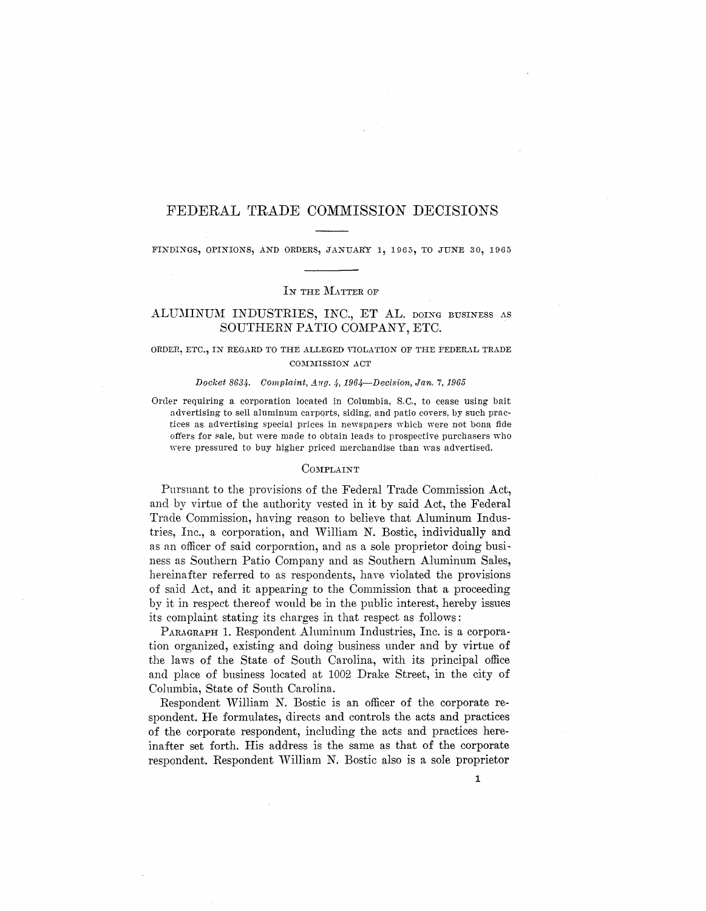# FEDERAL TRADE COMMISSION DECISIONS

FINDINGS, OPINIONS, AND ORDERS, JANUARY 1, 1965, TO JUNE 30, 1965

### *IN* THE MATTER OF

# ALUMINUM INDUSTRIES, INC., ET AL. DOING BUSINESS AS SOUTHERN PATIO COMPANY, ETC.

## ORDER, ETC., IN REGARD TO THE ALLEGED VIOLATION OF THE FEDERAL TRADE COMMISSION ACT

### Docket 8634. Complaint,  $Avg.$  4, 1964-Decision, Jan. 7, 1965

Order requiring a corporation located in Columbia, S.C., to cease using bait advertising to sell aluminum carports, siding, and patio covers, by such practices as advertising special prices in newspapers which were not bona fide offers for sale, but were made to obtain leads to prospective purchasers who were pressured to buy higher priced merchandise than was advertised.

# COMPLAINT

Pursuant to the provisions of the Federal Trade Commission Act, and by virtue of the authority vested in it by said Act, the Federal Trade Commission, having reason to believe that Aluminum Industries, Inc., a corporation, and William N. Bostic, individually and as an officer of said corporation, and as a sole proprietor doing business as Southern Patio Company and as Southern Aluminum Sales, hereinafter referred to as respondents, have violated the provisions of said Act, and it appearing to the Commission that a proceeding by it in respect thereof would be in the public interest, hereby issues its complaint stating its charges in that respect as follows:

PARAGRAPH 1. Respondent Aluminum Industries, Inc. is a corporation organized, existing and doing business under and by virtue of the laws of the State of South Carolina, with its principal office and place of business located at 1002 Drake Street, in the city of Columbia, State of South Carolina.

Respondent William N. Bostic is an officer of the corporate respondent. He formulates, directs and controls the acts and practices of the corporate respondent, including the acts and practices hereinafter set forth. His address is the same as that of the corporate respondent. Respondent William N. Bostic also is a sole proprietor

1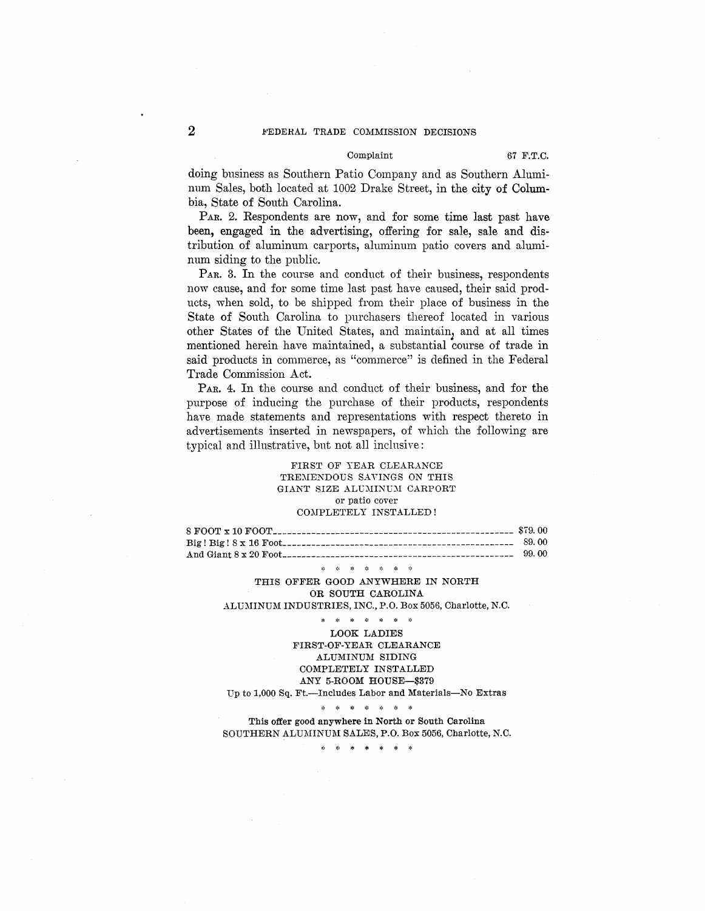# 2 **EXPLOREMAL TRADE COMMISSION DECISIONS**

#### Complaint 67 F.T.C.

doing business as Southern Patio Company and as Southern Aluminum Sales, both located at 1002 Drake Street, in the city of Columbia, State of South Carolina.

PAR. 2. Respondents are now, and for some time last past have been, engaged in the advertising, offering for sale, sale and distribution of aluminum carports, aluminum patio covers and aluminum siding to the public.

PAR. 3. In the course and conduct of their business, respondents now cause, and for some time last past have caused, their said products, when sold, to be shipped from their place of business in the State of South Carolina to purchasers thereof located in various other States of the United States, and maintain, and at all times mentioned herein have maintained, a substantial course of trade in said products in commerce, as "commerce" is defined in the Federal Trade Commission Act.

PAR. 4. In the course and conduct of their business, and for the purpose of inducing the purchase of their products, respondents have made statements and representations with respect thereto in advertisements inserted in newspapers, of which the following are typical and illustrative, but not all inclusive:

## FIRST OF YEAR CLEARANCE TREMENDOUS SAVINGS ON THIS GIANT SIZE ALUMINUM CARPORT or patio cover COMPLETELY INSTALLED !

8 FOOT x 10 FOOT\_\_\_\_\_\_\_\_\_\_\_\_\_\_\_\_\_\_\_\_\_\_\_\_\_\_\_\_\_\_\_\_\_\_\_\_\_\_\_\_\_\_\_\_\_\_\_\_\_\_ \$79. 00 Big! Big! 8 x 16 Foot\_\_\_\_\_\_\_\_\_\_\_\_\_\_\_\_\_\_\_\_\_\_\_\_\_\_\_\_\_\_\_\_\_\_\_\_\_\_\_\_\_\_\_\_\_\_\_\_ 89. 00 And Giant 8 x 20 Foot\_\_\_\_\_\_\_\_\_\_\_\_\_\_\_\_\_\_\_\_\_\_\_\_\_\_\_\_\_\_\_\_\_\_\_\_\_\_\_\_\_\_\_\_\_\_\_\_ 99. 00

**第一章 東 章 東 章 章** 

THIS OFFER GOOD ANYWHERE IN NORTH OR SOUTH CAROLINA ALUMINUM INDUSTRIES, INC., P.O. Box 5056, Charlotte, N.C.

\* \* \* \* \* \* \* LOOK LADIES FIRST-OF-YEAR CLEARANCE ALUMINUM SIDING COMPLETELY INSTALLED ANY 5-ROOM HOUSE-\$379 Up to 1,000 Sq. Ft.--Includes Labor and Materials-No Extras

\* • \* \* \* \* \*

This offer good anywhere in North or South Carolina SOUTHERN ALUMINUM SALES, P.O. Box 5056, Charlotte, N.C.

• • \* \* \* \* \*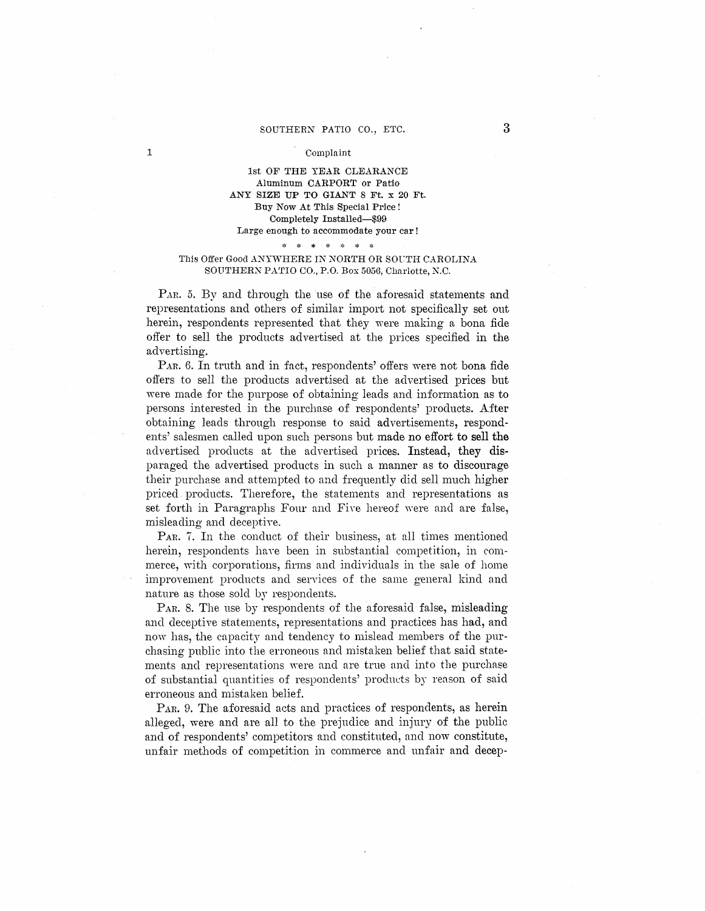### SOUTHERN PATIO CO., ETC.

### Complaint

1

# 1st OF THE YEAR CLEARANCE Aluminum CARPORT or Patio ANY SIZE UP TO GIANT 8 Ft. x 20 Ft. Buy Now At This Special Price! Completely Installed-\$99 Large enough to accommodate your car!

# \* \* \* \* \* • \*

# This Offer Good ANYWHERE IN NORTH OR SOUTH CAROLINA SOUTHERN PATIO CO., P.O. Box 5056, Charlotte, N.C.

PAR. 5. By and through the use of the aforesaid statements and representations and others of similar import not specifically set out herein, respondents represented that they were making a bona fide offer to sell the products advertised at the prices specified in the advertising.

PAR. 6. In truth and in fact, respondents' offers were not bona fide offers to sell the products advertised at the advertised prices but were made for the purpose of obtaining leads and information as to persons interested in the purchase of respondents' products. After obtaining leads through response to said advertisements, respondents' salesmen called upon such persons but made no effort to sell the advertised products at the advertised prices. Instead, they disparaged the advertised products in such a manner as to discourage their purchase and attempted to and frequently did sell much higher priced products. Therefore, the statements and representations as set forth in Paragraphs Four and Five hereof were and are false, misleading and deceptive.

PAR. 7. In the conduct of their business, at all times mentioned herein, respondents have been in substantial competition, in commerce, with corporations, firms and individuals in the sale of home improvement products and services of the same general kind and nature as those sold by respondents.

PAR. 8. The use by respondents of the aforesaid false, misleading and deceptive statements, representations and practices has had, and now has, the capacity and tendency to mislead members of the purchasing public into the erroneous and mistaken belief that said statements and representations were and are true and into the purchase of substantial quantities of respondents' products by reason of said erroneous and mistaken belief.

PAR. 9. The aforesaid acts and practices of respondents, as herein alleged, were and are all to the prejndice and injury of the public and of respondents' competitors and constituted, and now constitute, unfair methods of competition in commerce and unfair and decep-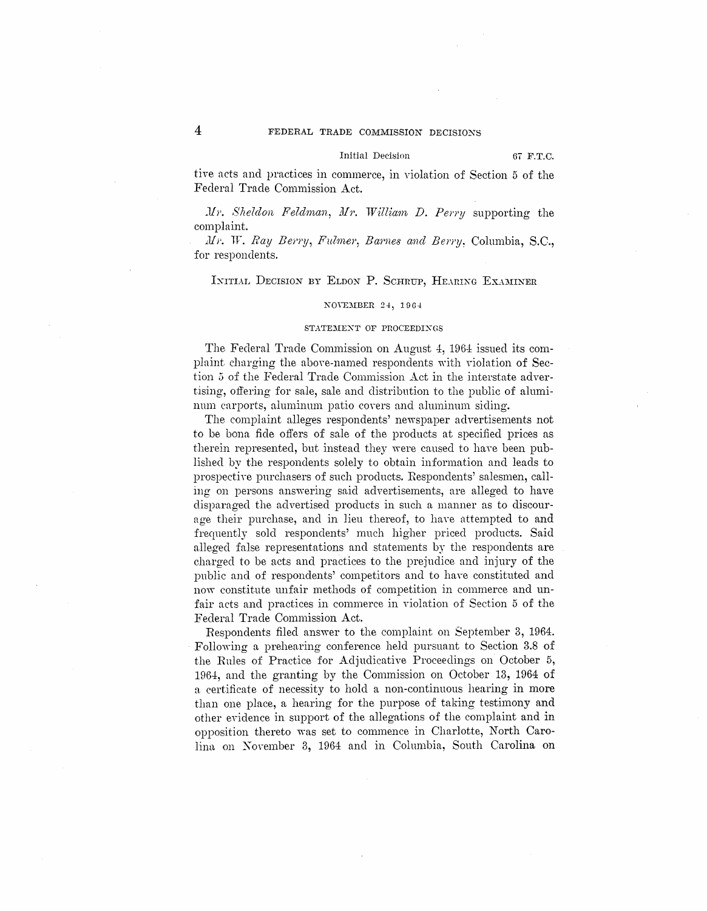#### Initial Decision 67 F.T.C.

tive acts and practices in commerce, in violation of Section 5 of the Federal Trade Commission Act.

 $Mr.$  *Sheldon Feldman, Mr. William D. Perry* supporting the complaint.

*Mr. W. Ray Berry, Fulmer, Barnes and Berry.* Columbia, S.C., for respondents.

## INITIAL DECISION BY ELDON P. SCHRUP, HEARING EXAMINER

## NOVEMBER 24, 1964

### STATEMENT OF PROCEEDINGS

The Federal Trade Commission on August 4, 1964 issued its complaint charging the above-named respondents with violation of Section 5 of the Federal Trade Commission Act in the interstate advertising, offering for sale, sale and distribution to the public of aluminum carports, aluminum patio covers and aluminum siding.

The complaint alleges respondents' newspaper advertisements not *to* be bona fide offers of sale of the products at specified prices as therein represented, but instead they were caused to have been published by the respondents solely to obtain information and leads to prospective purchasers of such products. Respondents' salesmen, calling on persons answering said advertisements, are alleged to have disparaged the advertised products in such a manner as to discourage their purchase, and in lieu thereof, to have attempted to and frequently sold respondents' much higher priced products. Said alleged false representations and statements by the respondents are charged to be acts and practices to the prejudice and injury of the public and of respondents' competitors and to have constituted and now constitute unfair methods of competition in commerce and unfair acts and practices in commerce in violation of Section 5 of the Federal Trade Commission Act.

Respondents filed answer to the complaint on September 3, 1964. Following a prehearing conference held pursuant to Section 3.8 of the Rules of Practice for Adjudicative Proceedings on October 5, 1964, and the granting by the Commission on October 13, 1964 of a certificate of necessity to hold a non-continuous hearing in more than one place, a hearing for the purpose of taking testimony and other evidence in support of the allegations of the complaint and in opposition thereto was set to commence in Charlotte, North Carolina on November 3, 1964 and in Columbia, South Carolina on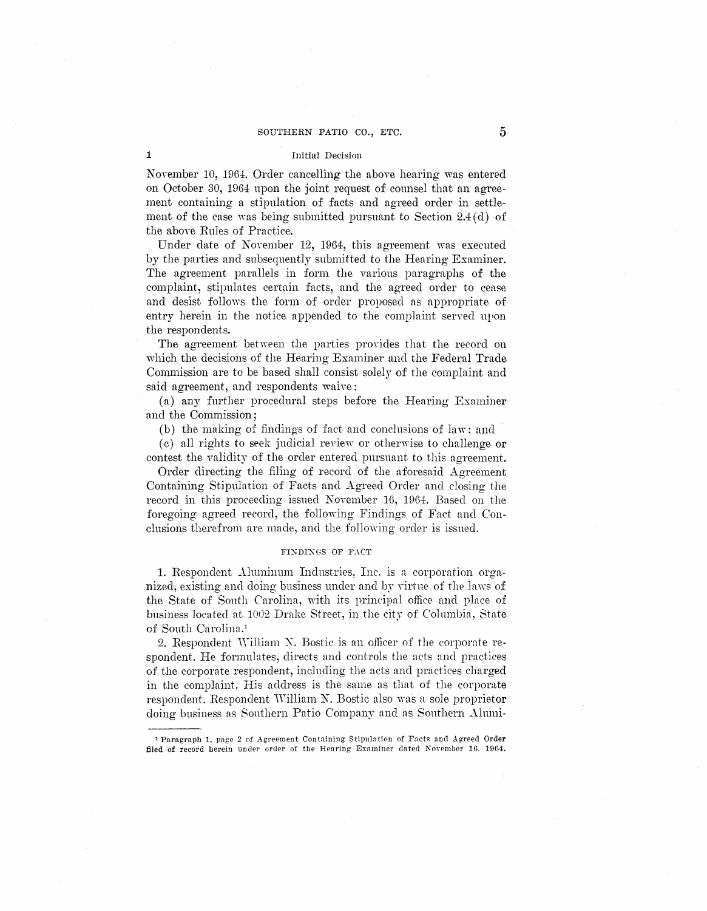### Initial Decision

November 10, 1964. Order cancelling the above hearing was entered on October 30, 1964 upon the joint request of counsel that an agreement containing a stipulation of facts and agreed order in settlement of the case was being submitted pursuant to Section  $2.4$  (d) of the above Rules of Practice.

Under date of November 12, 1964, this agreement was executed by the parties and subsequently submitted to the Hearing Examiner. The agreement parallels in form the various paragraphs of the complaint, stipulates certain facts, and the agreed order to cease and desist follows the form of order proposed as appropriate of entry herein in the notice appended to the complaint served upon the respondents.

The agreement between the parties provides that the record on which the decisions of the Hearing Examiner and the Federal Trade Commission are to be based shall consist solely of the complaint and said agreement, and respondents waive:

(a) any further procedural steps before the Hearing Examiner and the Commission ;

(b) the making of findings of fact and conclusions of law; and

(c) all rights to seek judicial review or otherwise to challenge or contest the validity of the order entered pursuant to this agreement.

Order directing the filing of record of the aforesaid Agreement Containing Stipulation of Facts and Agreed Order and closing the record in this proceeding issued November 16, 1D64. Based on the foregoing agreed record, the following Findings of Fact and Conclusions therefrom are made, and the following order is issued.

### FINDINGS OF FACT

1. Respondent Aluminum Industries, Inc. is a corporation organized, existing and doing business under and by virtue of the laws of the State of Sonth Carolina, with its principal office and place of business located at 1002 Drake Street, in the city of Columbia, State of South Carolina.<sup>1</sup>

2. Respondent William N. Bostic is an officer of the corporate respondent. He formulates, directs and controls the nets and practices of the corporate respondent, inclnding the acts and practices charged in the complaint. His address is the same as that of the corporate respondent. Respondent William N. Bostic also was a sole proprietor doing business ns Sonthern Patio Company and as Sonthern Almni-

1

<sup>&</sup>lt;sup>1</sup> Paragraph 1, page 2 of Agreement Containing Stipulation of Facts and Agreed Order filed of record herein under order of the Hearing Examiner dated November 16. 1964.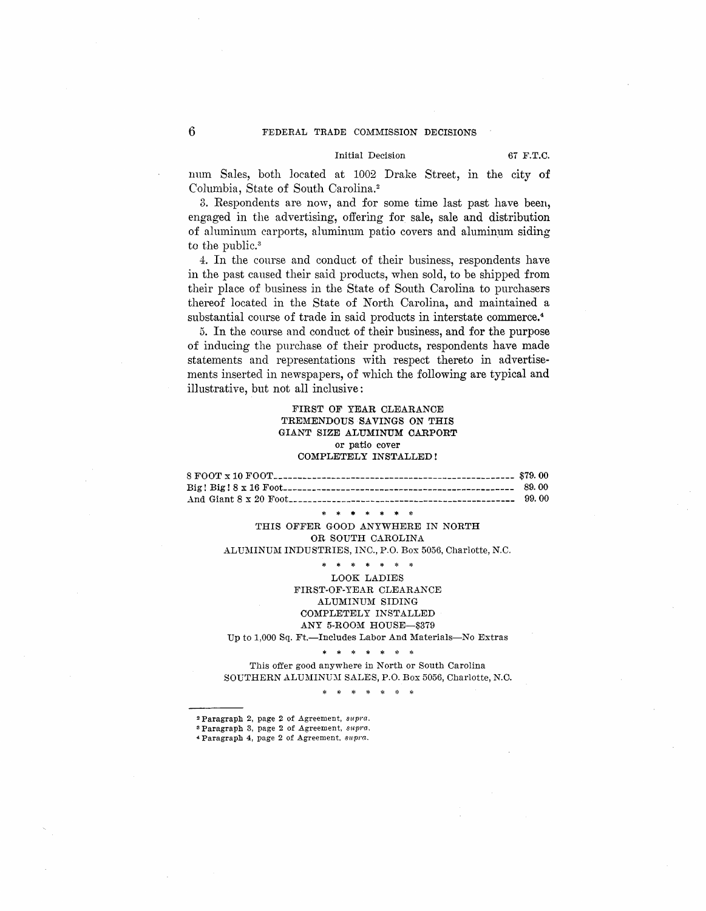#### Initial Decision 67 F.T.C.

mun Sales, both located at 1002 Drake Street, m the city of Columbia, State of South Carolina. <sup>2</sup>

3. Respondents are now, and for some time last past have been, engaged in the advertising, offering for sale, sale and distribution of aluminum carports, aluminum patio covers and aluminum siding to the public.<sup>3</sup>

4. In the course and conduct of their business, respondents have in the past caused their said products, when sold, to be shipped from their place of business in the State of South Carolina to purchasers thereof located in the State of North Carolina, and maintained a substantial course of trade in said products in interstate commerce.<sup>4</sup>

5. In the course and conduct of their business, and for the purpose of inducing the purchase of their products, respondents have made statements and representations with respect thereto in advertisements inserted in newspapers, of which the following are typical and illustrative, but not all inclusive:

## **FIRST OF YEAR CLEARANCE TREMENDOUS SAVINGS ON THIS GIANT SIZE ALUMINUM CARPORT**  or patio cover **COMPLETELY INSTALLED!**

**8 FOOT x 10 FOOT \_\_\_\_\_\_\_\_\_\_\_\_\_\_\_\_\_\_\_\_\_\_\_\_\_\_\_\_\_\_\_\_\_\_\_\_\_\_\_\_\_\_\_\_\_\_\_\_\_\_ \$79. 00 Big! Big! 8 x 16** Foot\_\_\_\_\_\_\_\_\_\_\_\_\_\_\_\_\_\_\_\_\_\_\_\_\_\_\_\_\_\_\_\_\_\_\_\_\_\_\_\_\_\_\_\_\_\_\_\_ **89. 00**  And Giant 8 x 20 Foot\_\_\_\_\_\_\_\_\_\_\_\_\_\_\_\_\_\_\_\_\_\_\_\_\_\_\_\_\_\_\_\_\_\_\_\_\_\_\_\_\_\_\_\_\_\_\_ 99. 00

\* \* \* \* \* \* \*

THIS OFFER GOOD ANYWHERE IN NORTH OR SOUTH CAROLINA ALUMINUM INDUSTRIES, INC., P.O. Box 5056, Charlotte, N.C.

\* \* \* \* \* \* \*

LOOK LADIES FIRST-OF-YEAR CLEARANCE ALUMINUM SIDING COMPLETELY INSTALLED ANY 5-ROOM HOUSE-\$379 Up to 1,000 Sq. Ft.-Includes Labor And Materials-No Extras

\* \* \* \* \* \* \*

This offer good anywhere in North or South Carolina SOUTHERN ALUMINUM SALES, P.O. Box 5056, Charlotte, N.C.

\* \* \* \* \* \* \*

<sup>2</sup> Paragraph 2, page 2 of Agreement,  ${supra}$ . <sup>3</sup> Paragraph 3, page 2 of Agreement,  $supra$ .

, Paragraph 4, page 2 of .Agreement, *supra.*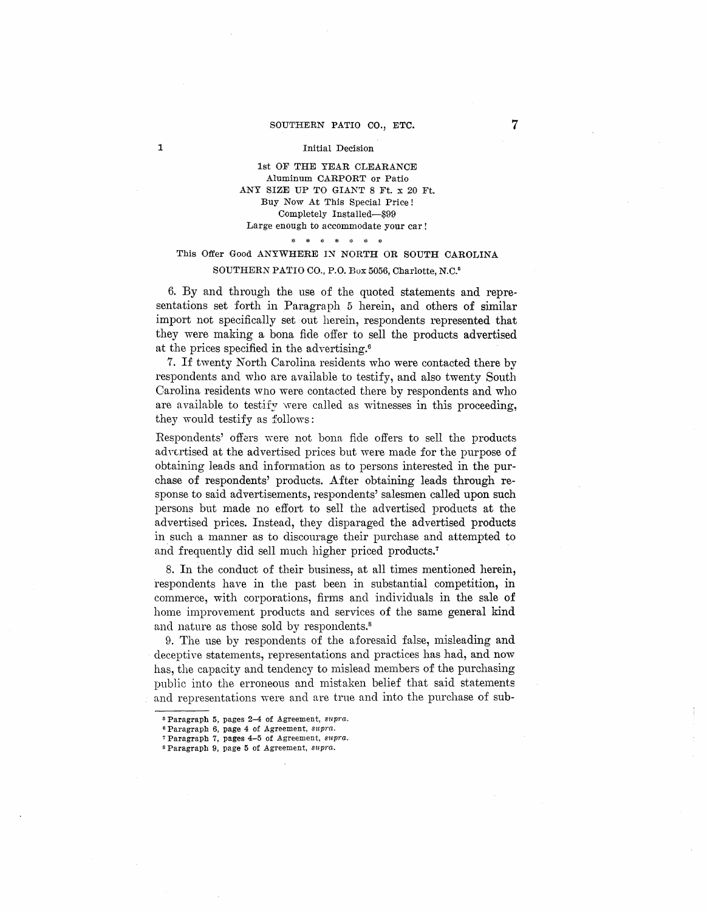### SOUTHERN PATIO CO., ETC.

### Initial Decision

1

1st OF THE YEAR CLEARANCE Aluminum CARPORT or Patio ANY SIZE UP TO GIANT 8 Ft. x 20 Ft. Buy Now At This Special Price! Completely Installed-\$99 Large enough to accommodate your car !

# \* \* \* \* \* \* \* This Offer Good ANYWHERE IN NORTH OR SOUTH CAROLINA SOUTHERN PATIO CO., P.O. Box 5056, Charlotte, N.C.<sup>5</sup>

6. By and through the use of the quoted statements and representations set forth in Paragraph 5 herein, and others of similar import not specifically set out herein, respondents represented that they were making a bona fide offer to sell the products advertised at the prices specified in the advertising.<sup>6</sup>

7. If twenty North Carolina residents who were contacted there by respondents and who are available to testify, and also twenty South Carolina residents who were contacted there by respondents and who are available to testify were called as witnesses in this proceeding. they would testify as follows :

Respondents' offers were not bona fide offers to sell the products advertised at the advertised prices but were made for the purpose of obtaining leads and information as to persons interested in the purchase of respondents' products. After obtaining leads through response to said advertisements, respondents' salesmen called upon such persons but made no effort to sell the advertised products at the advertised prices. Instead, they disparaged the advertised products in such a manner as to discourage their purchase and attempted to and frequently did sell much higher priced products.<sup>7</sup>

8. In the conduct of their business, at all times mentioned herein, respondents have in the past been in substantial competition, in commerce, with corporations, firms and individuals in the sale of home improvement products and services of the same general kind and nature as those sold by respondents.<sup>8</sup>

9. The use by respondents of the aforesaid false, misleading and deceptive statements, representations and practices has had, and now has, the capacity and tendency to mislead members of the purchasing public into the erroneous and mistaken belief that said statements and representations were and are true and into the purchase of sub-

<sup>5</sup>Paragraph 5, pages 2-4 of Agreement, *supra.* 

<sup>6</sup> Paragraph 6, page 4 of Agreement, *supra.* 

<sup>&</sup>lt;sup>7</sup> Paragraph 7, pages 4-5 of Agreement,  $supra$ .

<sup>&</sup>lt;sup>8</sup> Paragraph 9, page 5 of Agreement,  $supra$ .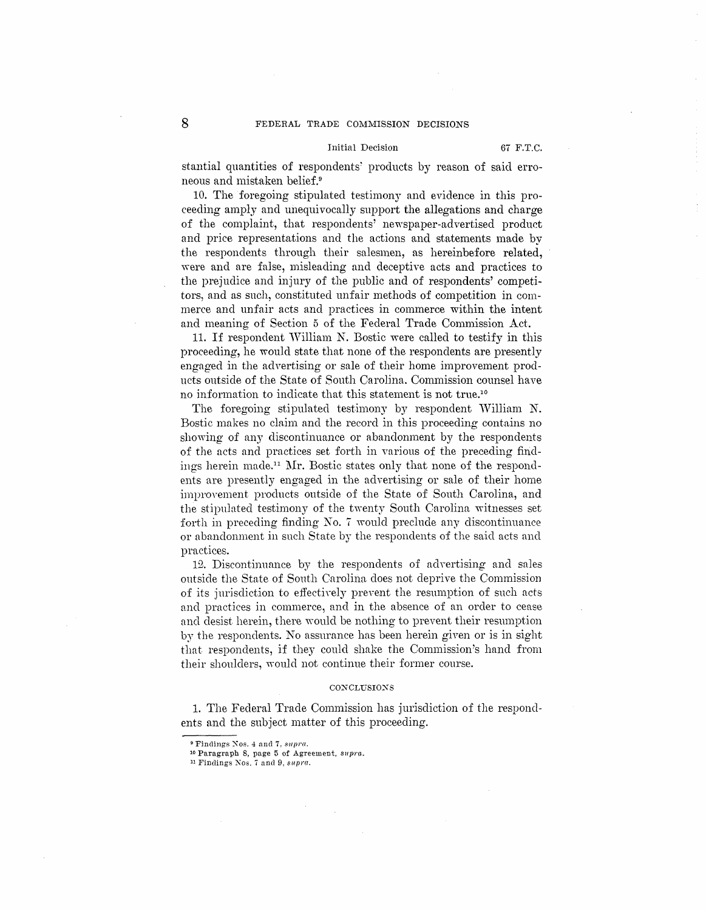### Initial Decision 67 F.T.C.

stantial quantities of respondents: products by reason of said erroneous and mistaken belief.<sup>9</sup>

10. The foregoing stipulated testimony and evidence in this proceeding amply and unequivocally support the allegations and charge of the complaint, that respondents' newspaper-advertised product and price representations and the actions and statements made by the respondents through their salesmen, as hereinbefore related, were and are false, misleading and deceptive acts and practices to the prejudice and injury of the public and of respondents' competitors, and as such, constituted unfair methods of competition in commerce and unfair acts and practices in commerce within the intent and meaning of Section 5 of the Federal Trade Commission Act.

11. If respondent William N. Bostic were called to testify in this proceeding, he would state that none of the respondents are presently engaged in the advertising or sale of their home improvement products outside of the State of South Carolina. Commission counsel have no information to indicate that this statement is not true.10

The foregoing stipulated testimony by respondent William N. Bostic makes no claim and the record in this proceeding contains no showing of any discontinuance or abandonment by the respondents of the acts and practices set forth in various of the preceding findings herein made.<sup>11</sup> Mr. Bostic states only that none of the respondents are presently engaged in the advertising or sale of their home improvement products outside of the State of South Carolina, and the stipulated testimony of the twenty South Carolina witnesses set forth in preceding finding No. 7 would preclude any discontinuance or abandonment in such State by the respondents of the said acts and practices.

12. Discontinuance by the respondents of advertising and sales outside the State of South Carolina does not deprive the Commission of its jurisdiction to effectively prevent the resumption of such acts and practices in commerce, and in the absence of an order to cease and desist herein, there would be nothing to prevent their resumption by the respondents. No assurance has been herein given or is in sight that respondents, if they could shake the Commission's hand from their shoulders, would not continue their former course.

#### $CONCLUSIONS$

1. The Federal Trade Commission has jurisdiction of the respondents and the subject matter of this proceeding.

<sup>&</sup>lt;sup>9</sup> Findings Nos. 4 and 7, supra.

<sup>10</sup> Paragraph 8, page 5 of Agreement, supra..

<sup>11</sup> Findings Nos. 7 and 9, *supra.*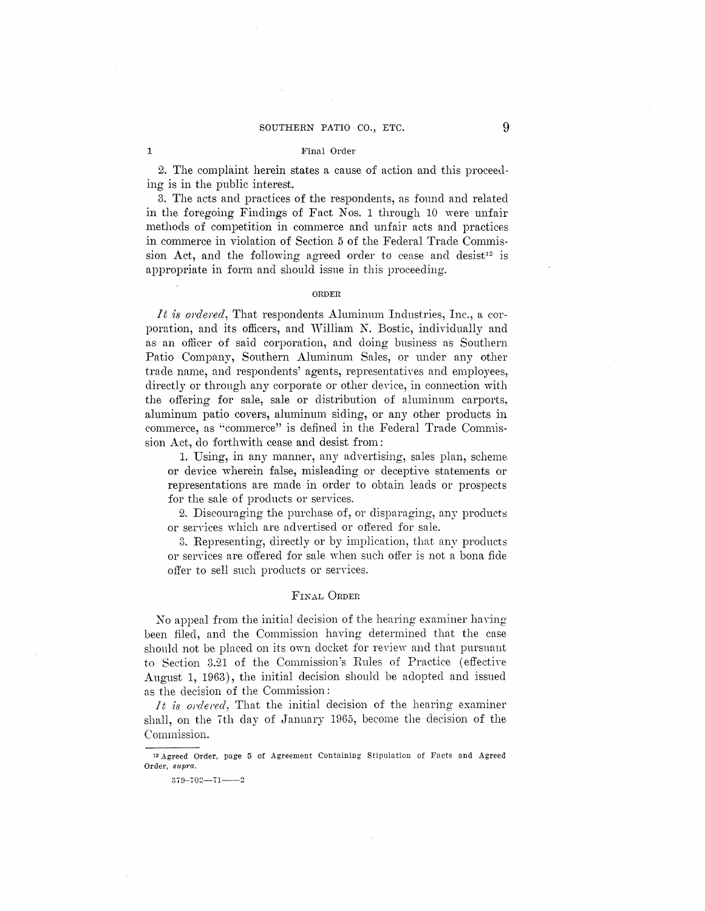## SOUTHERN PATIO CO., ETC. 9

#### Final Order

2. The complaint herein states a cause of action and this proceeding is in the public interest.

3. The acts and practices of the respondents, as found and related in the foregoing Findings of Fact Nos. 1 through 10 were unfair methods of competition in commerce and unfair acts and practices in commerce in violation of Section 5 of the Federal Trade Commission Act, and the following agreed order to cease and desist<sup>12</sup> is appropriate in form and should issue in this proceeding.

### **ORDER**

*It is ordered*, That respondents Aluminum Industries, Inc., a corporation, and its officers, and William N. Bostic, individually and as an officer of said corporation, and doing business as Southern Patio Company, Southern Aluminum Sales, or under any other trade name, and respondents' agents, representatives and employees, directly or through any corporate or other device, in connection with the offering for sale, sale or distribution of aluminum carports, aluminum patio covers, aluminum siding, or any other products in commerce, as "commerce" is defined in the Federal Trade Commission Act, do forthwith cease and desist from:

1. Using, in any manner, any advertising, sales plan, scheme or device wherein false, misleading or deceptive statements or representations are made in order to obtain leads or prospects for the sale of products or services.

2. Discouraging the purchase of, or disparaging, any products or services which are advertised or offered for sale.

3. Representing, directly or by implication, that any products or services are offered for sale when such offer is not a bona fide offer to sell such products or services.

## FINAL ORDER

No appeal from the initial decision of the hearing examiner having been filed, and the Commission having determined that the case shonld not be placed on its own docket for review and that pursuant to Section 3.21 of the Commission's Rules of Practice (effective August 1, 1963), the initial decision should be adopted and issued as the decision of the Commission:

*It is o;·dered,* That the initial decision of the hearing examiner shall, on the 7th day of January 1965, become the decision of the Commission.

1

<sup>12</sup> Agreed Order, page 5 of Agreement Containing Stipulation of Facts and Agreed Order, *supra.* 

 $379 - 702 - 71 - 2$